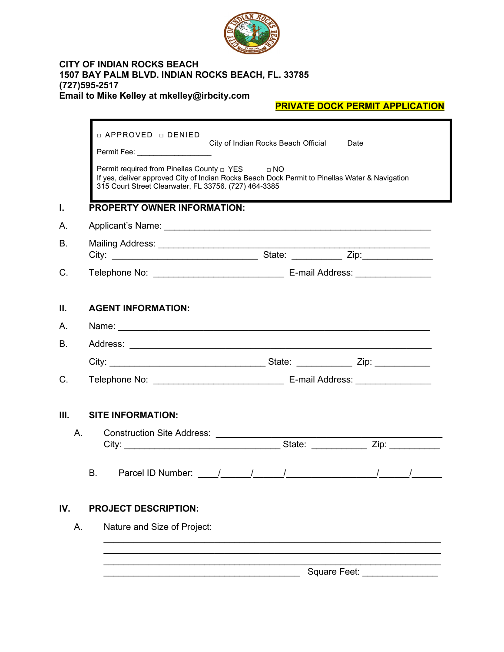

#### **CITY OF INDIAN ROCKS BEACH 1507 BAY PALM BLVD. INDIAN ROCKS BEACH, FL. 33785 (727)595-2517 Email to Mike Kelley at mkelley@irbcity.com**

# **PRIVATE DOCK PERMIT APPLICATION**

|           | □ APPROVED □ DENIED                                                                                                                                                                                                                           | City of Indian Rocks Beach Official                                                                                        | Date         |  |
|-----------|-----------------------------------------------------------------------------------------------------------------------------------------------------------------------------------------------------------------------------------------------|----------------------------------------------------------------------------------------------------------------------------|--------------|--|
|           | Permit Fee: ___________________<br>Permit required from Pinellas County □ YES □ NO<br>If yes, deliver approved City of Indian Rocks Beach Dock Permit to Pinellas Water & Navigation<br>315 Court Street Clearwater, FL 33756. (727) 464-3385 |                                                                                                                            |              |  |
| L         | <b>PROPERTY OWNER INFORMATION:</b>                                                                                                                                                                                                            |                                                                                                                            |              |  |
| А.        |                                                                                                                                                                                                                                               |                                                                                                                            |              |  |
| <b>B.</b> |                                                                                                                                                                                                                                               |                                                                                                                            |              |  |
|           |                                                                                                                                                                                                                                               |                                                                                                                            |              |  |
| C.        |                                                                                                                                                                                                                                               |                                                                                                                            |              |  |
| Ш.        | <b>AGENT INFORMATION:</b>                                                                                                                                                                                                                     |                                                                                                                            |              |  |
| А.        |                                                                                                                                                                                                                                               |                                                                                                                            |              |  |
| Β.        |                                                                                                                                                                                                                                               |                                                                                                                            |              |  |
|           |                                                                                                                                                                                                                                               |                                                                                                                            |              |  |
| C.        |                                                                                                                                                                                                                                               |                                                                                                                            |              |  |
| III.      | <b>SITE INFORMATION:</b>                                                                                                                                                                                                                      |                                                                                                                            |              |  |
| А.        | Construction Site Address: _____________                                                                                                                                                                                                      |                                                                                                                            |              |  |
|           |                                                                                                                                                                                                                                               |                                                                                                                            |              |  |
|           | <b>B.</b>                                                                                                                                                                                                                                     | Parcel ID Number: $\frac{1}{\sqrt{2}}$ $\frac{1}{\sqrt{2}}$ $\frac{1}{\sqrt{2}}$ $\frac{1}{\sqrt{2}}$ $\frac{1}{\sqrt{2}}$ |              |  |
| IV.       | <b>PROJECT DESCRIPTION:</b>                                                                                                                                                                                                                   |                                                                                                                            |              |  |
| А.        | Nature and Size of Project:                                                                                                                                                                                                                   |                                                                                                                            |              |  |
|           |                                                                                                                                                                                                                                               |                                                                                                                            |              |  |
|           |                                                                                                                                                                                                                                               |                                                                                                                            | Square Feet: |  |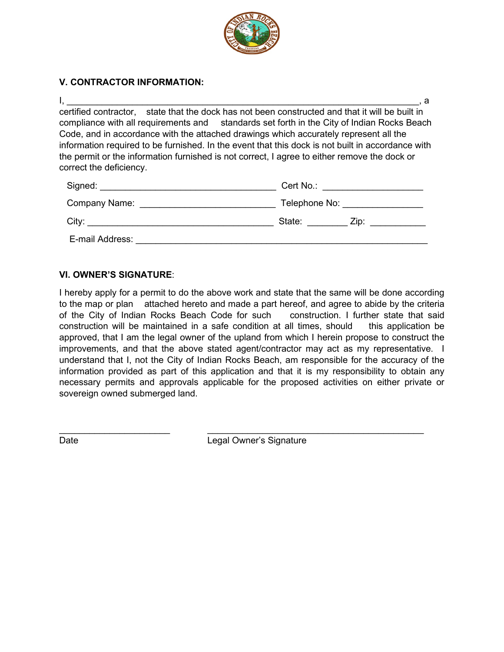

## **V. CONTRACTOR INFORMATION:**

I, \_\_\_\_\_\_\_\_\_\_\_\_\_\_\_\_\_\_\_\_\_\_\_\_\_\_\_\_\_\_\_\_\_\_\_\_\_\_\_\_\_\_\_\_\_\_\_\_\_\_\_\_\_\_\_\_\_\_\_\_\_\_\_\_\_\_\_\_\_\_, a certified contractor, state that the dock has not been constructed and that it will be built in compliance with all requirements and standards set forth in the City of Indian Rocks Beach Code, and in accordance with the attached drawings which accurately represent all the information required to be furnished. In the event that this dock is not built in accordance with the permit or the information furnished is not correct, I agree to either remove the dock or correct the deficiency.

| Signed:         | Cert No.:      |  |
|-----------------|----------------|--|
| Company Name:   | Telephone No:  |  |
| City:           | State:<br>Zip: |  |
| E-mail Address: |                |  |

### **VI. OWNER'S SIGNATURE**:

I hereby apply for a permit to do the above work and state that the same will be done according to the map or plan attached hereto and made a part hereof, and agree to abide by the criteria of the City of Indian Rocks Beach Code for such construction. I further state that said construction will be maintained in a safe condition at all times, should this application be approved, that I am the legal owner of the upland from which I herein propose to construct the improvements, and that the above stated agent/contractor may act as my representative. I understand that I, not the City of Indian Rocks Beach, am responsible for the accuracy of the information provided as part of this application and that it is my responsibility to obtain any necessary permits and approvals applicable for the proposed activities on either private or sovereign owned submerged land.

Date **Date** Legal Owner's Signature

 $\_$  , and the set of the set of the set of the set of the set of the set of the set of the set of the set of the set of the set of the set of the set of the set of the set of the set of the set of the set of the set of th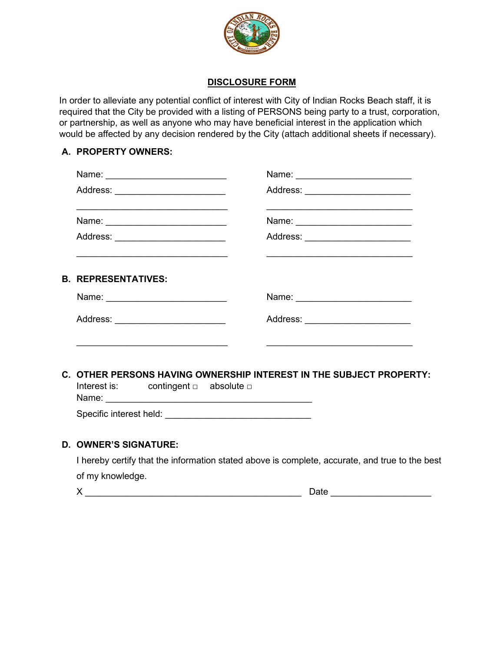

## **DISCLOSURE FORM**

In order to alleviate any potential conflict of interest with City of Indian Rocks Beach staff, it is required that the City be provided with a listing of PERSONS being party to a trust, corporation, or partnership, as well as anyone who may have beneficial interest in the application which would be affected by any decision rendered by the City (attach additional sheets if necessary).

### **A. PROPERTY OWNERS:**

| Name: ____________________________                                                              | Name: ________________________                                                                                                                             |  |
|-------------------------------------------------------------------------------------------------|------------------------------------------------------------------------------------------------------------------------------------------------------------|--|
| Address: ________________________<br><u> 1989 - Johann Stoff, amerikansk politiker (* 1908)</u> | Address: _______________________<br><u> 1989 - Johann Stoff, amerikansk politiker (* 1908)</u>                                                             |  |
| Name: ___________________________                                                               | Name: ________________________                                                                                                                             |  |
| Address: ________________________                                                               | Address: _______________________<br><u> 1990 - Johann John Stoff, deutscher Stoffen und der Stoffen und der Stoffen und der Stoffen und der Stoffen un</u> |  |
| <b>B. REPRESENTATIVES:</b>                                                                      |                                                                                                                                                            |  |
|                                                                                                 | Name: __________________________                                                                                                                           |  |
| Address: __________________________                                                             | Address: _______________________                                                                                                                           |  |
| C. OTHER PERSONS HAVING OWNERSHIP INTEREST IN THE SUBJECT PROPERTY:                             |                                                                                                                                                            |  |
| Interest is: contingent $\Box$ absolute $\Box$                                                  |                                                                                                                                                            |  |
|                                                                                                 |                                                                                                                                                            |  |

#### **D. OWNER'S SIGNATURE:**

I hereby certify that the information stated above is complete, accurate, and true to the best of my knowledge.

 $X \sim$  Date  $\sim$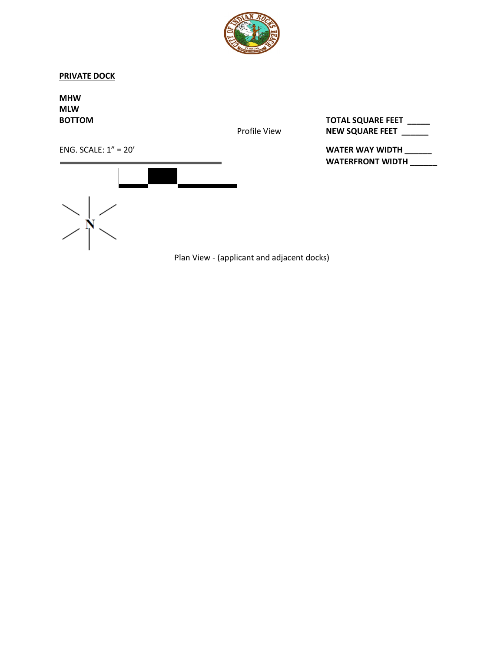

#### **PRIVATE DOCK**

**MHW MLW** 

**BOTTOM TOTAL SQUARE FEET \_\_\_\_\_** Profile View **NEW SQUARE FEET** \_\_\_\_\_

WATERFRONT WIDTH \_\_\_\_\_\_

ENG. SCALE: 1" = 20' **WATER WAY WIDTH \_\_\_\_\_\_**



Plan View - (applicant and adjacent docks)